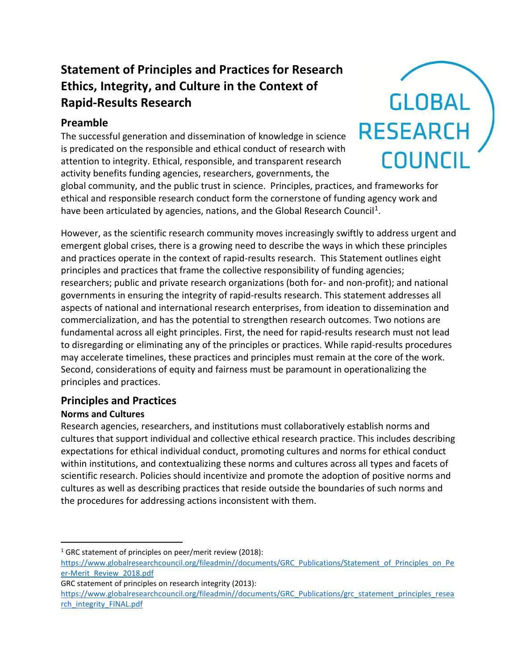# **Statement of Principles and Practices for Research Ethics, Integrity, and Culture in the Context of Rapid-Results Research**

## **Preamble**

The successful generation and dissemination of knowledge in science is predicated on the responsible and ethical conduct of research with attention to integrity. Ethical, responsible, and transparent research activity benefits funding agencies, researchers, governments, the

global community, and the public trust in science. Principles, practices, and frameworks for ethical and responsible research conduct form the cornerstone of funding agency work and have been articulated by agencies, nations, and the Global Research Council<sup>[1](#page-0-0)</sup>.

However, as the scientific research community moves increasingly swiftly to address urgent and emergent global crises, there is a growing need to describe the ways in which these principles and practices operate in the context of rapid-results research. This Statement outlines eight principles and practices that frame the collective responsibility of funding agencies; researchers; public and private research organizations (both for- and non-profit); and national governments in ensuring the integrity of rapid-results research. This statement addresses all aspects of national and international research enterprises, from ideation to dissemination and commercialization, and has the potential to strengthen research outcomes. Two notions are fundamental across all eight principles. First, the need for rapid-results research must not lead to disregarding or eliminating any of the principles or practices. While rapid-results procedures may accelerate timelines, these practices and principles must remain at the core of the work. Second, considerations of equity and fairness must be paramount in operationalizing the principles and practices.

## **Principles and Practices**

### **Norms and Cultures**

Research agencies, researchers, and institutions must collaboratively establish norms and cultures that support individual and collective ethical research practice. This includes describing expectations for ethical individual conduct, promoting cultures and norms for ethical conduct within institutions, and contextualizing these norms and cultures across all types and facets of scientific research. Policies should incentivize and promote the adoption of positive norms and cultures as well as describing practices that reside outside the boundaries of such norms and the procedures for addressing actions inconsistent with them.

```
https://www.globalresearchcouncil.org/fileadmin//documents/GRC_Publications/grc_statement_principles_resea
rch_integrity_FINAL.pdf
```


<span id="page-0-0"></span><sup>&</sup>lt;sup>1</sup> GRC statement of principles on peer/merit review (2018):

[https://www.globalresearchcouncil.org/fileadmin//documents/GRC\\_Publications/Statement\\_of\\_Principles\\_on\\_Pe](https://www.globalresearchcouncil.org/fileadmin/documents/GRC_Publications/Statement_of_Principles_on_Peer-Merit_Review_2018.pdf) [er-Merit\\_Review\\_2018.pdf](https://www.globalresearchcouncil.org/fileadmin/documents/GRC_Publications/Statement_of_Principles_on_Peer-Merit_Review_2018.pdf)

GRC statement of principles on research integrity (2013):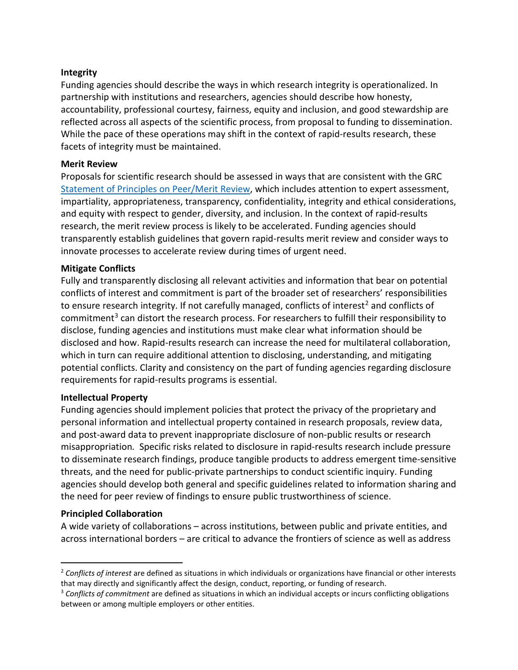#### **Integrity**

Funding agencies should describe the ways in which research integrity is operationalized. In partnership with institutions and researchers, agencies should describe how honesty, accountability, professional courtesy, fairness, equity and inclusion, and good stewardship are reflected across all aspects of the scientific process, from proposal to funding to dissemination. While the pace of these operations may shift in the context of rapid-results research, these facets of integrity must be maintained.

#### **Merit Review**

Proposals for scientific research should be assessed in ways that are consistent with the GRC [Statement of Principles on Peer/Merit Review,](chrome-extension://efaidnbmnnnibpcajpcglclefindmkaj/viewer.html?pdfurl=https%3A%2F%2Fwww.globalresearchcouncil.org%2Ffileadmin%2F%2Fdocuments%2FGRC_Publications%2FStatement_of_Principles_on_Peer-Merit_Review_2018.pdf&clen=238267&chunk=true) which includes attention to expert assessment, impartiality, appropriateness, transparency, confidentiality, integrity and ethical considerations, and equity with respect to gender, diversity, and inclusion. In the context of rapid-results research, the merit review process is likely to be accelerated. Funding agencies should transparently establish guidelines that govern rapid-results merit review and consider ways to innovate processes to accelerate review during times of urgent need.

#### **Mitigate Conflicts**

Fully and transparently disclosing all relevant activities and information that bear on potential conflicts of interest and commitment is part of the broader set of researchers' responsibilities to ensure research integrity. If not carefully managed, conflicts of interest<sup>[2](#page-1-0)</sup> and conflicts of commitment<sup>[3](#page-1-1)</sup> can distort the research process. For researchers to fulfill their responsibility to disclose, funding agencies and institutions must make clear what information should be disclosed and how. Rapid-results research can increase the need for multilateral collaboration, which in turn can require additional attention to disclosing, understanding, and mitigating potential conflicts. Clarity and consistency on the part of funding agencies regarding disclosure requirements for rapid-results programs is essential.

#### **Intellectual Property**

Funding agencies should implement policies that protect the privacy of the proprietary and personal information and intellectual property contained in research proposals, review data, and post-award data to prevent inappropriate disclosure of non-public results or research misappropriation*.* Specific risks related to disclosure in rapid-results research include pressure to disseminate research findings, produce tangible products to address emergent time-sensitive threats, and the need for public-private partnerships to conduct scientific inquiry. Funding agencies should develop both general and specific guidelines related to information sharing and the need for peer review of findings to ensure public trustworthiness of science.

#### **Principled Collaboration**

A wide variety of collaborations – across institutions, between public and private entities, and across international borders – are critical to advance the frontiers of science as well as address

<span id="page-1-0"></span><sup>2</sup> *Conflicts of interest* are defined as situations in which individuals or organizations have financial or other interests that may directly and significantly affect the design, conduct, reporting, or funding of research.

<span id="page-1-1"></span><sup>3</sup> *Conflicts of commitment* are defined as situations in which an individual accepts or incurs conflicting obligations between or among multiple employers or other entities.